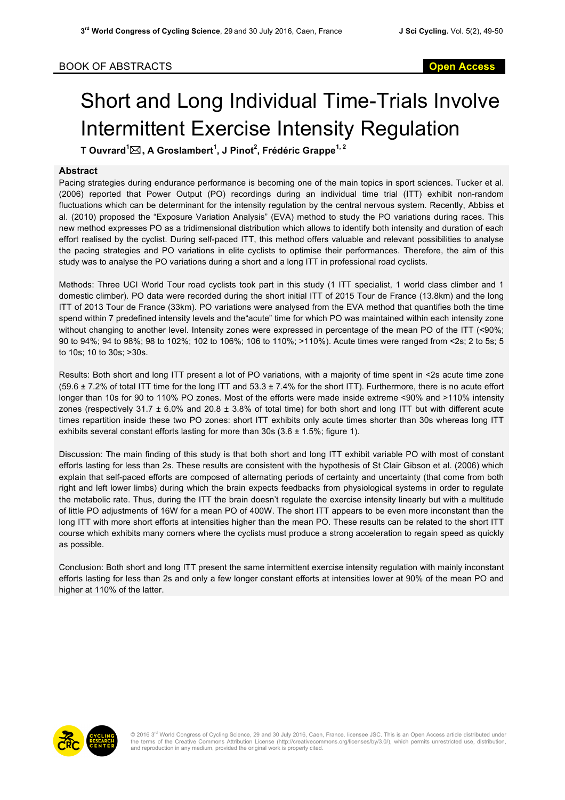## Short and Long Individual Time-Trials Involve Intermittent Exercise Intensity Regulation

**T Ouvrard<sup>1</sup>** \***, A Groslambert<sup>1</sup> , J Pinot<sup>2</sup> , Frédéric Grappe1, 2**

## **Abstract**

Pacing strategies during endurance performance is becoming one of the main topics in sport sciences. Tucker et al. (2006) reported that Power Output (PO) recordings during an individual time trial (ITT) exhibit non-random fluctuations which can be determinant for the intensity regulation by the central nervous system. Recently, Abbiss et al. (2010) proposed the "Exposure Variation Analysis" (EVA) method to study the PO variations during races. This new method expresses PO as a tridimensional distribution which allows to identify both intensity and duration of each effort realised by the cyclist. During self-paced ITT, this method offers valuable and relevant possibilities to analyse the pacing strategies and PO variations in elite cyclists to optimise their performances. Therefore, the aim of this study was to analyse the PO variations during a short and a long ITT in professional road cyclists.

Methods: Three UCI World Tour road cyclists took part in this study (1 ITT specialist, 1 world class climber and 1 domestic climber). PO data were recorded during the short initial ITT of 2015 Tour de France (13.8km) and the long ITT of 2013 Tour de France (33km). PO variations were analysed from the EVA method that quantifies both the time spend within 7 predefined intensity levels and the"acute" time for which PO was maintained within each intensity zone without changing to another level. Intensity zones were expressed in percentage of the mean PO of the ITT (<90%; 90 to 94%; 94 to 98%; 98 to 102%; 102 to 106%; 106 to 110%; >110%). Acute times were ranged from <2s; 2 to 5s; 5 to 10s; 10 to 30s; >30s.

Results: Both short and long ITT present a lot of PO variations, with a majority of time spent in <2s acute time zone  $(59.6 \pm 7.2\%$  of total ITT time for the long ITT and  $53.3 \pm 7.4\%$  for the short ITT). Furthermore, there is no acute effort longer than 10s for 90 to 110% PO zones. Most of the efforts were made inside extreme <90% and >110% intensity zones (respectively 31.7 ± 6.0% and 20.8 ± 3.8% of total time) for both short and long ITT but with different acute times repartition inside these two PO zones: short ITT exhibits only acute times shorter than 30s whereas long ITT exhibits several constant efforts lasting for more than 30s (3.6  $\pm$  1.5%; figure 1).

Discussion: The main finding of this study is that both short and long ITT exhibit variable PO with most of constant efforts lasting for less than 2s. These results are consistent with the hypothesis of St Clair Gibson et al. (2006) which explain that self-paced efforts are composed of alternating periods of certainty and uncertainty (that come from both right and left lower limbs) during which the brain expects feedbacks from physiological systems in order to regulate the metabolic rate. Thus, during the ITT the brain doesn't regulate the exercise intensity linearly but with a multitude of little PO adjustments of 16W for a mean PO of 400W. The short ITT appears to be even more inconstant than the long ITT with more short efforts at intensities higher than the mean PO. These results can be related to the short ITT course which exhibits many corners where the cyclists must produce a strong acceleration to regain speed as quickly as possible.

Conclusion: Both short and long ITT present the same intermittent exercise intensity regulation with mainly inconstant efforts lasting for less than 2s and only a few longer constant efforts at intensities lower at 90% of the mean PO and higher at 110% of the latter.